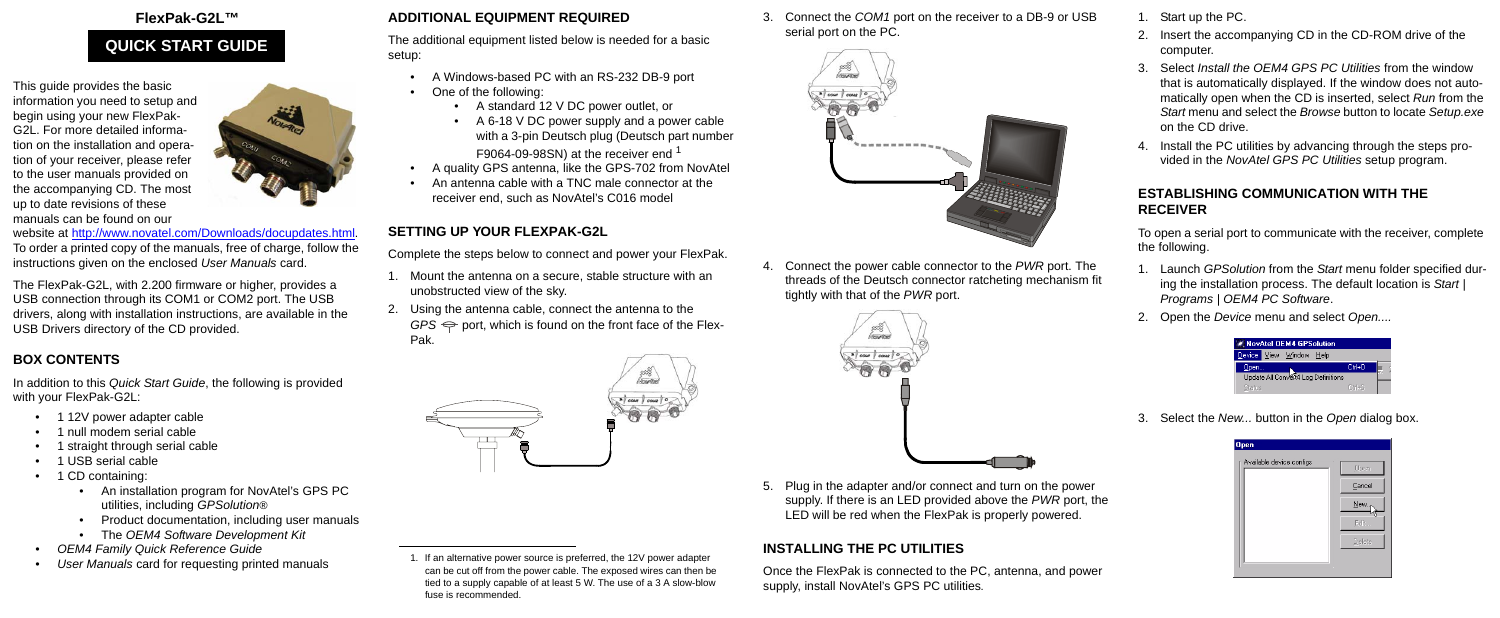#### **FlexPak-G2L™**

This guide provides the basic [information you need to setup and](http://www.novatel.com/Downloads/docupdates.html)  begin using your new FlexPak-G2L. For more detailed information on the installation and operation of your receiver, please refer to the user manuals provided on the accompanying CD. The most up to date revisions of these manuals can be found on our



[website at h](http://www.novatel.com/Downloads/docupdates.html)ttp://www.novatel.com/Downloads/docupdates.html. To order a printed copy of the manuals, free of charge, follow the instructions given on the enclosed *User Manuals* card.

The FlexPak-G2L, with 2.200 firmware or higher, provides a USB connection through its COM1 or COM2 port. The USB drivers, along with installation instructions, are available in the USB Drivers directory of the CD provided.

## **BOX CONTENTS**

In addition to this *Quick Start Guide*, the following is provided with your FlexPak-G2L:

- 1 12V power adapter cable
- 1 null modem serial cable
- 1 straight through serial cable
- 1 USB serial cable
- 1 CD containing:
	- An installation program for NovAtel's GPS PC utilities, including *GPSolution®*
	- Product documentation, including user manuals
	- The *OEM4 Software Development Kit*
- *OEM4 Family Quick Reference Guide*
- *User Manuals* card for requesting printed manuals

## **ADDITIONAL EQUIPMENT REQUIRED**

The additional equipment listed below is needed for a basic setup:

- A Windows-based PC with an RS-232 DB-9 port
- One of the following:
	- A standard 12 V DC power outlet, or
	- A 6-18 V DC power supply and a power cable with a 3-pin Deutsch plug (Deutsch part number F9064-09-98SN) at the receiver end <sup>1</sup>
- A quality GPS antenna, like the GPS-702 from NovAtel
- An antenna cable with a TNC male connector at the receiver end, such as NovAtel's C016 model

## **SETTING UP YOUR FLEXPAK-G2L**

Complete the steps below to connect and power your FlexPak.

- 1. Mount the antenna on a secure, stable structure with an unobstructed view of the sky.
- 2. Using the antenna cable, connect the antenna to the  $GPS \Leftrightarrow$  port, which is found on the front face of the Flex-Pak.



3. Connect the *COM1* port on the receiver to a DB-9 or USB serial port on the PC.



4. Connect the power cable connector to the *PWR* port. The threads of the Deutsch connector ratcheting mechanism fit tightly with that of the *PWR* port.



5. Plug in the adapter and/or connect and turn on the power supply. If there is an LED provided above the *PWR* port, the LED will be red when the FlexPak is properly powered.

## **INSTALLING THE PC UTILITIES**

Once the FlexPak is connected to the PC, antenna, and power supply, install NovAtel's GPS PC utilities*.*

- 1. Start up the PC.
- 2. Insert the accompanying CD in the CD-ROM drive of the computer.
- 3. Select *Install the OEM4 GPS PC Utilities* from the window that is automatically displayed. If the window does not automatically open when the CD is inserted, select *Run* from the *Start* menu and select the *Browse* button to locate *Setup.exe* on the CD drive.
- 4. Install the PC utilities by advancing through the steps provided in the *NovAtel GPS PC Utilities* setup program.

#### **ESTABLISHING COMMUNICATION WITH THE RECEIVER**

To open a serial port to communicate with the receiver, complete the following.

- 1. Launch *GPSolution* from the *Start* menu folder specified during the installation process. The default location is *Start | Programs | OEM4 PC Software*.
- 2. Open the *Device* menu and select *Open....*



3. Select the *New...* button in the *Open* dialog box.

| <b>Open</b><br>Available device configs | Open   |
|-----------------------------------------|--------|
|                                         | Cancel |
|                                         | New    |
|                                         | Edit   |
|                                         | Delete |
|                                         |        |

# **QUICK START GUIDE**

<sup>1.</sup> If an alternative power source is preferred, the 12V power adapter can be cut off from the power cable. The exposed wires can then be tied to a supply capable of at least 5 W. The use of a 3 A slow-blow fuse is recommended.